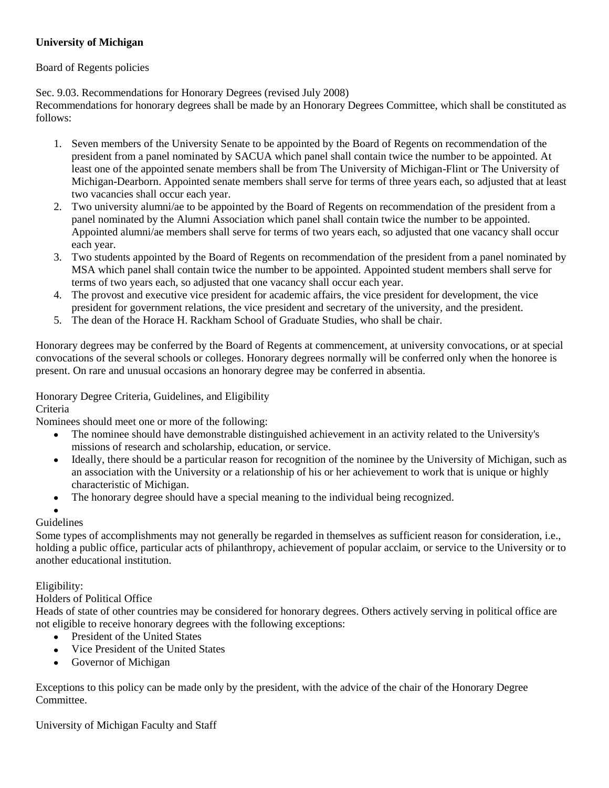# **University of Michigan**

# Board of Regents policies

Sec. 9.03. Recommendations for Honorary Degrees (revised July 2008)

Recommendations for honorary degrees shall be made by an Honorary Degrees Committee, which shall be constituted as follows:

- 1. Seven members of the University Senate to be appointed by the Board of Regents on recommendation of the president from a panel nominated by SACUA which panel shall contain twice the number to be appointed. At least one of the appointed senate members shall be from The University of Michigan-Flint or The University of Michigan-Dearborn. Appointed senate members shall serve for terms of three years each, so adjusted that at least two vacancies shall occur each year.
- 2. Two university alumni/ae to be appointed by the Board of Regents on recommendation of the president from a panel nominated by the Alumni Association which panel shall contain twice the number to be appointed. Appointed alumni/ae members shall serve for terms of two years each, so adjusted that one vacancy shall occur each year.
- 3. Two students appointed by the Board of Regents on recommendation of the president from a panel nominated by MSA which panel shall contain twice the number to be appointed. Appointed student members shall serve for terms of two years each, so adjusted that one vacancy shall occur each year.
- 4. The provost and executive vice president for academic affairs, the vice president for development, the vice president for government relations, the vice president and secretary of the university, and the president.
- 5. The dean of the Horace H. Rackham School of Graduate Studies, who shall be chair.

Honorary degrees may be conferred by the Board of Regents at commencement, at university convocations, or at special convocations of the several schools or colleges. Honorary degrees normally will be conferred only when the honoree is present. On rare and unusual occasions an honorary degree may be conferred in absentia.

# Honorary Degree Criteria, Guidelines, and Eligibility

# Criteria

Nominees should meet one or more of the following:

- The nominee should have demonstrable distinguished achievement in an activity related to the University's  $\bullet$ missions of research and scholarship, education, or service.
- Ideally, there should be a particular reason for recognition of the nominee by the University of Michigan, such as  $\bullet$ an association with the University or a relationship of his or her achievement to work that is unique or highly characteristic of Michigan.
- The honorary degree should have a special meaning to the individual being recognized.  $\bullet$

# Guidelines

Some types of accomplishments may not generally be regarded in themselves as sufficient reason for consideration, i.e., holding a public office, particular acts of philanthropy, achievement of popular acclaim, or service to the University or to another educational institution.

# Eligibility:

# Holders of Political Office

Heads of state of other countries may be considered for honorary degrees. Others actively serving in political office are not eligible to receive honorary degrees with the following exceptions:

- President of the United States
- $\bullet$ Vice President of the United States
- Governor of Michigan

Exceptions to this policy can be made only by the president, with the advice of the chair of the Honorary Degree Committee.

University of Michigan Faculty and Staff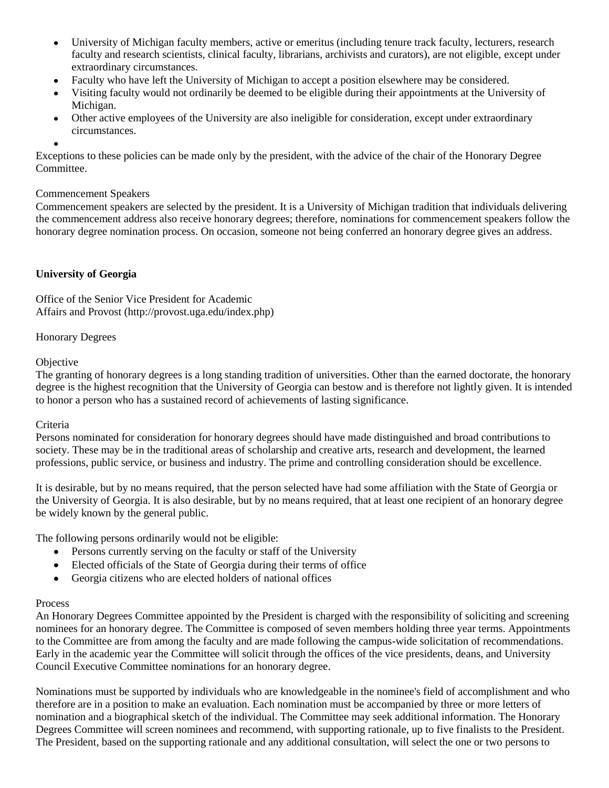- University of Michigan faculty members, active or emeritus (including tenure track faculty, lecturers, research  $\bullet$ faculty and research scientists, clinical faculty, librarians, archivists and curators), are not eligible, except under extraordinary circumstances.
- Faculty who have left the University of Michigan to accept a position elsewhere may be considered.
- Visiting faculty would not ordinarily be deemed to be eligible during their appointments at the University of Michigan.
- Other active employees of the University are also ineligible for consideration, except under extraordinary circumstances.
- 

Exceptions to these policies can be made only by the president, with the advice of the chair of the Honorary Degree Committee.

#### Commencement Speakers

Commencement speakers are selected by the president. It is a University of Michigan tradition that individuals delivering the commencement address also receive honorary degrees; therefore, nominations for commencement speakers follow the honorary degree nomination process. On occasion, someone not being conferred an honorary degree gives an address.

# **University of Georgia**

Office of the Senior Vice President for Academic Affairs and Provost (http://provost.uga.edu/index.php)

## Honorary Degrees

## **Objective**

The granting of honorary degrees is a long standing tradition of universities. Other than the earned doctorate, the honorary degree is the highest recognition that the University of Georgia can bestow and is therefore not lightly given. It is intended to honor a person who has a sustained record of achievements of lasting significance.

#### Criteria

Persons nominated for consideration for honorary degrees should have made distinguished and broad contributions to society. These may be in the traditional areas of scholarship and creative arts, research and development, the learned professions, public service, or business and industry. The prime and controlling consideration should be excellence.

It is desirable, but by no means required, that the person selected have had some affiliation with the State of Georgia or the University of Georgia. It is also desirable, but by no means required, that at least one recipient of an honorary degree be widely known by the general public.

The following persons ordinarily would not be eligible:

- Persons currently serving on the faculty or staff of the University
- Elected officials of the State of Georgia during their terms of office
- Georgia citizens who are elected holders of national offices  $\bullet$

#### Process

An Honorary Degrees Committee appointed by the President is charged with the responsibility of soliciting and screening nominees for an honorary degree. The Committee is composed of seven members holding three year terms. Appointments to the Committee are from among the faculty and are made following the campus-wide solicitation of recommendations. Early in the academic year the Committee will solicit through the offices of the vice presidents, deans, and University Council Executive Committee nominations for an honorary degree.

Nominations must be supported by individuals who are knowledgeable in the nominee's field of accomplishment and who therefore are in a position to make an evaluation. Each nomination must be accompanied by three or more letters of nomination and a biographical sketch of the individual. The Committee may seek additional information. The Honorary Degrees Committee will screen nominees and recommend, with supporting rationale, up to five finalists to the President. The President, based on the supporting rationale and any additional consultation, will select the one or two persons to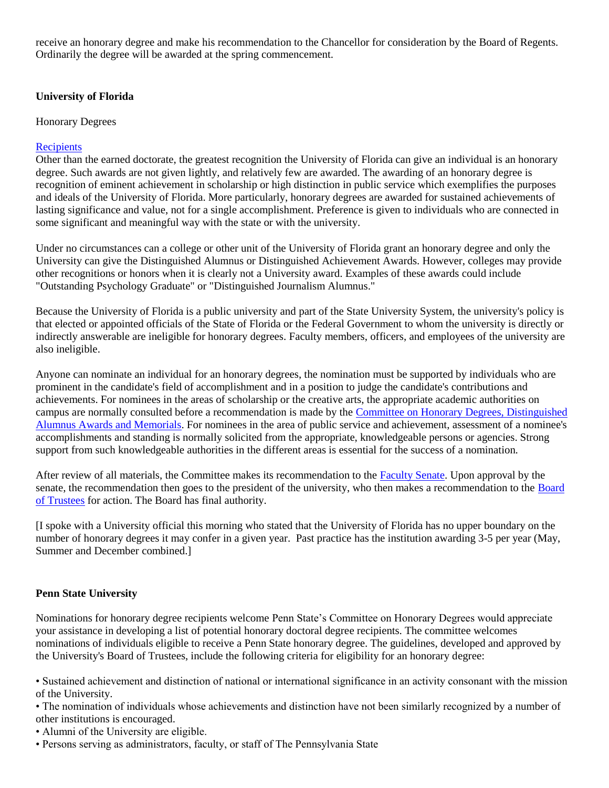receive an honorary degree and make his recommendation to the Chancellor for consideration by the Board of Regents. Ordinarily the degree will be awarded at the spring commencement.

## **University of Florida**

Honorary Degrees

## **[Recipients](http://www.president.ufl.edu/hddesc.htm)**

Other than the earned doctorate, the greatest recognition the University of Florida can give an individual is an honorary degree. Such awards are not given lightly, and relatively few are awarded. The awarding of an honorary degree is recognition of eminent achievement in scholarship or high distinction in public service which exemplifies the purposes and ideals of the University of Florida. More particularly, honorary degrees are awarded for sustained achievements of lasting significance and value, not for a single accomplishment. Preference is given to individuals who are connected in some significant and meaningful way with the state or with the university.

Under no circumstances can a college or other unit of the University of Florida grant an honorary degree and only the University can give the Distinguished Alumnus or Distinguished Achievement Awards. However, colleges may provide other recognitions or honors when it is clearly not a University award. Examples of these awards could include "Outstanding Psychology Graduate" or "Distinguished Journalism Alumnus."

Because the University of Florida is a public university and part of the State University System, the university's policy is that elected or appointed officials of the State of Florida or the Federal Government to whom the university is directly or indirectly answerable are ineligible for honorary degrees. Faculty members, officers, and employees of the university are also ineligible.

Anyone can nominate an individual for an honorary degrees, the nomination must be supported by individuals who are prominent in the candidate's field of accomplishment and in a position to judge the candidate's contributions and achievements. For nominees in the areas of scholarship or the creative arts, the appropriate academic authorities on campus are normally consulted before a recommendation is made by the [Committee on Honorary Degrees, Distinguished](http://www.senate.ufl.edu/committees/honorary/)  [Alumnus Awards and Memorials.](http://www.senate.ufl.edu/committees/honorary/) For nominees in the area of public service and achievement, assessment of a nominee's accomplishments and standing is normally solicited from the appropriate, knowledgeable persons or agencies. Strong support from such knowledgeable authorities in the different areas is essential for the success of a nomination.

After review of all materials, the Committee makes its recommendation to the [Faculty Senate.](http://www.senate.ufl.edu/) Upon approval by the senate, the recommendation then goes to the president of the university, who then makes a recommendation to the [Board](http://www.trustees.ufl.edu/)  [of Trustees](http://www.trustees.ufl.edu/) for action. The Board has final authority.

[I spoke with a University official this morning who stated that the University of Florida has no upper boundary on the number of honorary degrees it may confer in a given year. Past practice has the institution awarding 3-5 per year (May, Summer and December combined.]

# **Penn State University**

Nominations for honorary degree recipients welcome Penn State's Committee on Honorary Degrees would appreciate your assistance in developing a list of potential honorary doctoral degree recipients. The committee welcomes nominations of individuals eligible to receive a Penn State honorary degree. The guidelines, developed and approved by the University's Board of Trustees, include the following criteria for eligibility for an honorary degree:

• Sustained achievement and distinction of national or international significance in an activity consonant with the mission of the University.

• The nomination of individuals whose achievements and distinction have not been similarly recognized by a number of other institutions is encouraged.

- Alumni of the University are eligible.
- Persons serving as administrators, faculty, or staff of The Pennsylvania State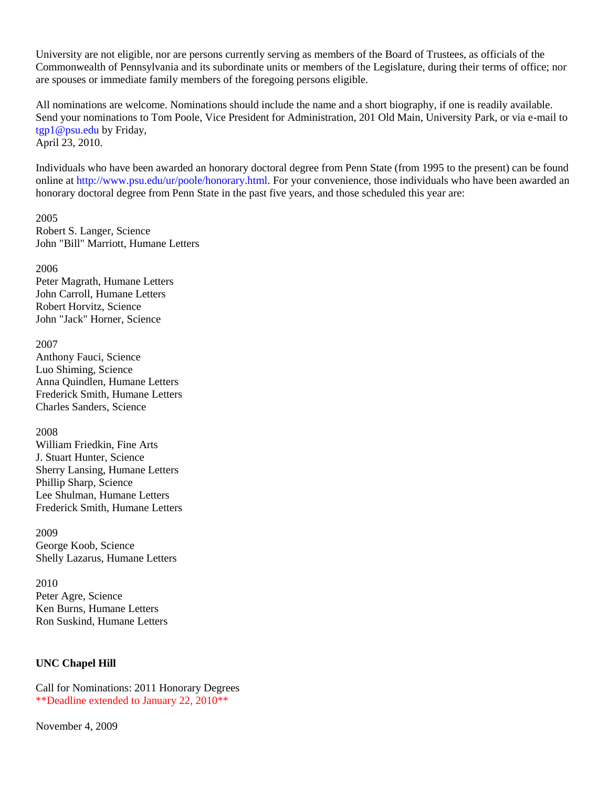University are not eligible, nor are persons currently serving as members of the Board of Trustees, as officials of the Commonwealth of Pennsylvania and its subordinate units or members of the Legislature, during their terms of office; nor are spouses or immediate family members of the foregoing persons eligible.

All nominations are welcome. Nominations should include the name and a short biography, if one is readily available. Send your nominations to Tom Poole, Vice President for Administration, 201 Old Main, University Park, or via e-mail to tgp1@psu.edu by Friday, April 23, 2010.

Individuals who have been awarded an honorary doctoral degree from Penn State (from 1995 to the present) can be found online at http://www.psu.edu/ur/poole/honorary.html. For your convenience, those individuals who have been awarded an honorary doctoral degree from Penn State in the past five years, and those scheduled this year are:

2005 Robert S. Langer, Science John "Bill" Marriott, Humane Letters

2006 Peter Magrath, Humane Letters John Carroll, Humane Letters Robert Horvitz, Science John "Jack" Horner, Science

#### 2007

Anthony Fauci, Science Luo Shiming, Science Anna Quindlen, Humane Letters Frederick Smith, Humane Letters Charles Sanders, Science

2008

William Friedkin, Fine Arts J. Stuart Hunter, Science Sherry Lansing, Humane Letters Phillip Sharp, Science Lee Shulman, Humane Letters Frederick Smith, Humane Letters

2009 George Koob, Science Shelly Lazarus, Humane Letters

2010 Peter Agre, Science Ken Burns, Humane Letters Ron Suskind, Humane Letters

# **UNC Chapel Hill**

Call for Nominations: 2011 Honorary Degrees \*\*Deadline extended to January 22, 2010\*\*

November 4, 2009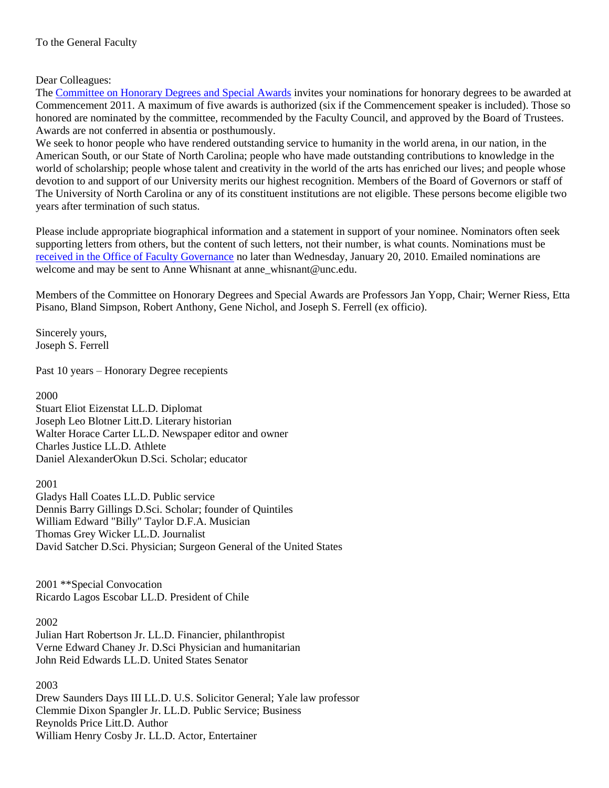# Dear Colleagues:

The [Committee on Honorary Degrees and Special Awards](http://www.unc.edu/faculty/faccoun/committees/HDAMain.shtml) invites your nominations for honorary degrees to be awarded at Commencement 2011. A maximum of five awards is authorized (six if the Commencement speaker is included). Those so honored are nominated by the committee, recommended by the Faculty Council, and approved by the Board of Trustees. Awards are not conferred in absentia or posthumously.

We seek to honor people who have rendered outstanding service to humanity in the world arena, in our nation, in the American South, or our State of North Carolina; people who have made outstanding contributions to knowledge in the world of scholarship; people whose talent and creativity in the world of the arts has enriched our lives; and people whose devotion to and support of our University merits our highest recognition. Members of the Board of Governors or staff of The University of North Carolina or any of its constituent institutions are not eligible. These persons become eligible two years after termination of such status.

Please include appropriate biographical information and a statement in support of your nominee. Nominators often seek supporting letters from others, but the content of such letters, not their number, is what counts. Nominations must be [received in the Office of Faculty Governance](http://www.unc.edu/faculty/faccoun/about/contact.shtml) no later than Wednesday, January 20, 2010. Emailed nominations are welcome and may be sent to Anne Whisnant at anne\_whisnant@unc.edu.

Members of the Committee on Honorary Degrees and Special Awards are Professors Jan Yopp, Chair; Werner Riess, Etta Pisano, Bland Simpson, Robert Anthony, Gene Nichol, and Joseph S. Ferrell (ex officio).

Sincerely yours, Joseph S. Ferrell

Past 10 years – Honorary Degree recepients

2000

Stuart Eliot Eizenstat LL.D. Diplomat Joseph Leo Blotner Litt.D. Literary historian Walter Horace Carter LL.D. Newspaper editor and owner Charles Justice LL.D. Athlete Daniel AlexanderOkun D.Sci. Scholar; educator

2001 Gladys Hall Coates LL.D. Public service Dennis Barry Gillings D.Sci. Scholar; founder of Quintiles William Edward "Billy" Taylor D.F.A. Musician Thomas Grey Wicker LL.D. Journalist David Satcher D.Sci. Physician; Surgeon General of the United States

2001 \*\*Special Convocation Ricardo Lagos Escobar LL.D. President of Chile

#### 2002

Julian Hart Robertson Jr. LL.D. Financier, philanthropist Verne Edward Chaney Jr. D.Sci Physician and humanitarian John Reid Edwards LL.D. United States Senator

2003

Drew Saunders Days III LL.D. U.S. Solicitor General; Yale law professor Clemmie Dixon Spangler Jr. LL.D. Public Service; Business Reynolds Price Litt.D. Author William Henry Cosby Jr. LL.D. Actor, Entertainer